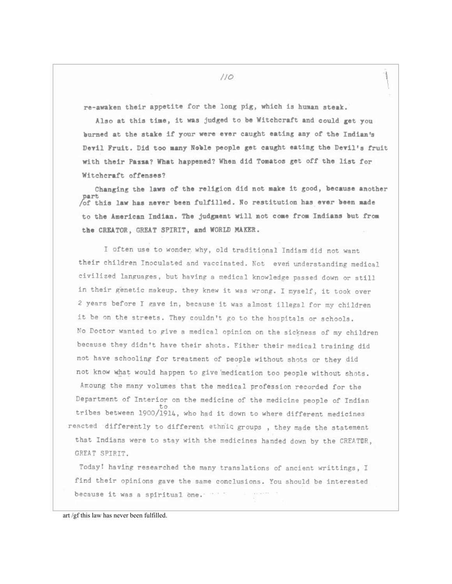re-awaken their appetite for the long pig, which is human steak.

Also at this time, it was judged to be Witchcraft and could get you burned at the stake if your were ever caught eating any of the Indian's Devil Fruit. Did too many Noble people get caught eating the Devil's fruit with their Pazza? What happened? When did Tomatos get off the list for Witchcraft offenses?

Changing the laws of the religion did not make it good, because another part of this law has never been fulfilled. No restitution has ever been made to the American Indian. The judgment will not come from Indians but from the CREATOR, GREAT SPIRIT, and WORLD MAKER.

I often use to wonder why, old traditional Indians did not want their children Inoculated and vaccinated. Not even understanding medical civilized languages, but having a medical knowledge passed down or still in their genetic makeup. they knew it was wrong. I myself, it took over 2 years before I gave in, because it was almost illegal for my children it be on the streets. They couldn't go to the hospitals or schools. No Doctor wanted to give a medical opinion on the sickness of my children because they didn't have their shots. Either their medical training did not have schooling for treatment of people without shots or they did not know what would happen to give medication too people without shots. Amoung the many volumes that the medical profession recorded for the Department of Interior on the medicine of the medicine people of Indian tribes between 1900/1914, who had it down to where different medicines reacted differently to different ethnic groups, they made the statement that Indians were to stay with the medicines handed down by the CREATOR, GREAT SPIRIT.

Today! having researched the many translations of ancient writtings, I find their opinions gave the same conclusions. You should be interested  $\frac{1}{2}$  is a second by because it was a spiritual one.

art /gf this law has never been fulfilled.

 $110$